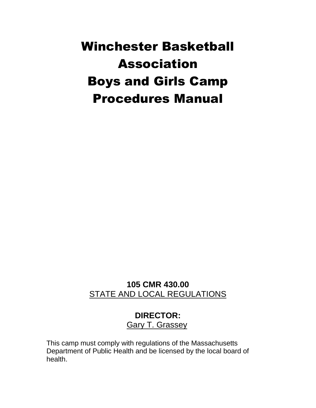# Winchester Basketball Association Boys and Girls Camp Procedures Manual

## **105 CMR 430.00** STATE AND LOCAL REGULATIONS

## **DIRECTOR:** Gary T. Grassey

This camp must comply with regulations of the Massachusetts Department of Public Health and be licensed by the local board of health.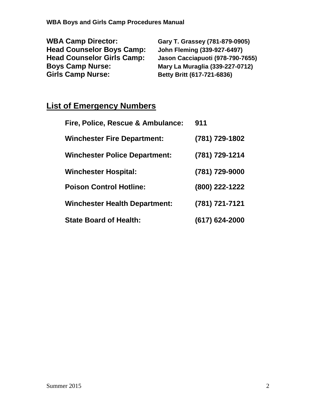| <b>WBA Camp Director:</b>         | Gary T. Grassey (781-879-0905)     |
|-----------------------------------|------------------------------------|
| <b>Head Counselor Boys Camp:</b>  | <b>John Fleming (339-927-6497)</b> |
| <b>Head Counselor Girls Camp:</b> | Jason Cacciapuoti (978-790-7655)   |
| <b>Boys Camp Nurse:</b>           | Mary La Muraglia (339-227-0712)    |
| <b>Girls Camp Nurse:</b>          | Betty Britt (617-721-6836)         |

## **List of Emergency Numbers**

| Fire, Police, Rescue & Ambulance:    | 911              |
|--------------------------------------|------------------|
| <b>Winchester Fire Department:</b>   | (781) 729-1802   |
| <b>Winchester Police Department:</b> | (781) 729-1214   |
| <b>Winchester Hospital:</b>          | (781) 729-9000   |
| <b>Poison Control Hotline:</b>       | (800) 222-1222   |
| <b>Winchester Health Department:</b> | (781) 721-7121   |
| <b>State Board of Health:</b>        | $(617)$ 624-2000 |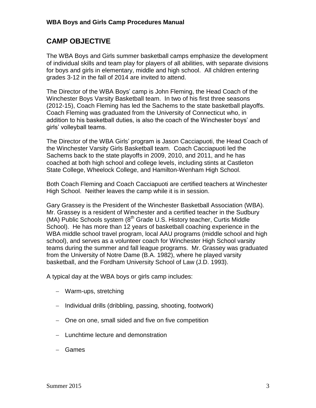## **CAMP OBJECTIVE**

The WBA Boys and Girls summer basketball camps emphasize the development of individual skills and team play for players of all abilities, with separate divisions for boys and girls in elementary, middle and high school. All children entering grades 3-12 in the fall of 2014 are invited to attend.

The Director of the WBA Boys' camp is John Fleming, the Head Coach of the Winchester Boys Varsity Basketball team. In two of his first three seasons (2012-15), Coach Fleming has led the Sachems to the state basketball playoffs. Coach Fleming was graduated from the University of Connecticut who, in addition to his basketball duties, is also the coach of the Winchester boys' and girls' volleyball teams.

The Director of the WBA Girls' program is Jason Cacciapuoti, the Head Coach of the Winchester Varsity Girls Basketball team. Coach Cacciapuoti led the Sachems back to the state playoffs in 2009, 2010, and 2011, and he has coached at both high school and college levels, including stints at Castleton State College, Wheelock College, and Hamilton-Wenham High School.

Both Coach Fleming and Coach Cacciapuoti are certified teachers at Winchester High School. Neither leaves the camp while it is in session.

Gary Grassey is the President of the Winchester Basketball Association (WBA). Mr. Grassey is a resident of Winchester and a certified teacher in the Sudbury (MA) Public Schools system  $(8^{th}$  Grade U.S. History teacher, Curtis Middle School). He has more than 12 years of basketball coaching experience in the WBA middle school travel program, local AAU programs (middle school and high school), and serves as a volunteer coach for Winchester High School varsity teams during the summer and fall league programs. Mr. Grassey was graduated from the University of Notre Dame (B.A. 1982), where he played varsity basketball, and the Fordham University School of Law (J.D. 1993).

A typical day at the WBA boys or girls camp includes:

- Warm-ups, stretching
- Individual drills (dribbling, passing, shooting, footwork)
- One on one, small sided and five on five competition
- $-$  Lunchtime lecture and demonstration
- Games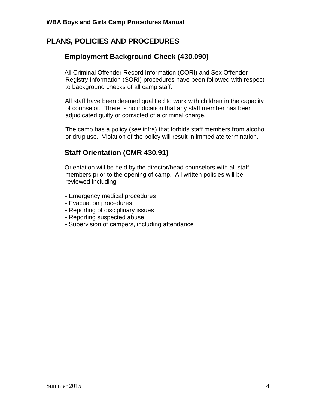## **PLANS, POLICIES AND PROCEDURES**

## **Employment Background Check (430.090)**

All Criminal Offender Record Information (CORI) and Sex Offender Registry Information (SORI) procedures have been followed with respect to background checks of all camp staff.

All staff have been deemed qualified to work with children in the capacity of counselor. There is no indication that any staff member has been adjudicated guilty or convicted of a criminal charge.

 The camp has a policy (*see* infra) that forbids staff members from alcohol or drug use. Violation of the policy will result in immediate termination.

## **Staff Orientation (CMR 430.91)**

Orientation will be held by the director/head counselors with all staff members prior to the opening of camp. All written policies will be reviewed including:

- Emergency medical procedures
- Evacuation procedures
- Reporting of disciplinary issues
- Reporting suspected abuse
- Supervision of campers, including attendance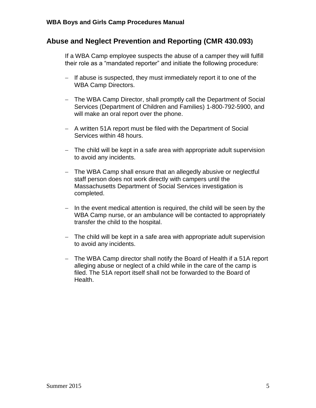### **Abuse and Neglect Prevention and Reporting (CMR 430.093)**

If a WBA Camp employee suspects the abuse of a camper they will fulfill their role as a "mandated reporter" and initiate the following procedure:

- If abuse is suspected, they must immediately report it to one of the WBA Camp Directors.
- The WBA Camp Director, shall promptly call the Department of Social Services (Department of Children and Families) 1-800-792-5900, and will make an oral report over the phone.
- A written 51A report must be filed with the Department of Social Services within 48 hours.
- The child will be kept in a safe area with appropriate adult supervision to avoid any incidents.
- The WBA Camp shall ensure that an allegedly abusive or neglectful staff person does not work directly with campers until the Massachusetts Department of Social Services investigation is completed.
- $-$  In the event medical attention is required, the child will be seen by the WBA Camp nurse, or an ambulance will be contacted to appropriately transfer the child to the hospital.
- The child will be kept in a safe area with appropriate adult supervision to avoid any incidents.
- The WBA Camp director shall notify the Board of Health if a 51A report alleging abuse or neglect of a child while in the care of the camp is filed. The 51A report itself shall not be forwarded to the Board of Health.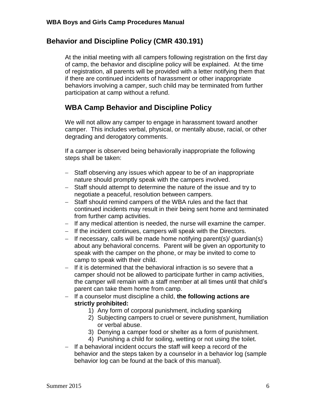## **Behavior and Discipline Policy (CMR 430.191)**

At the initial meeting with all campers following registration on the first day of camp, the behavior and discipline policy will be explained. At the time of registration, all parents will be provided with a letter notifying them that if there are continued incidents of harassment or other inappropriate behaviors involving a camper, such child may be terminated from further participation at camp without a refund.

## **WBA Camp Behavior and Discipline Policy**

We will not allow any camper to engage in harassment toward another camper. This includes verbal, physical, or mentally abuse, racial, or other degrading and derogatory comments.

If a camper is observed being behaviorally inappropriate the following steps shall be taken:

- Staff observing any issues which appear to be of an inappropriate nature should promptly speak with the campers involved.
- Staff should attempt to determine the nature of the issue and try to negotiate a peaceful, resolution between campers.
- Staff should remind campers of the WBA rules and the fact that continued incidents may result in their being sent home and terminated from further camp activities.
- If any medical attention is needed, the nurse will examine the camper.
- If the incident continues, campers will speak with the Directors.
- $-$  If necessary, calls will be made home notifying parent(s)/ guardian(s) about any behavioral concerns. Parent will be given an opportunity to speak with the camper on the phone, or may be invited to come to camp to speak with their child.
- $-$  If it is determined that the behavioral infraction is so severe that a camper should not be allowed to participate further in camp activities, the camper will remain with a staff member at all times until that child's parent can take them home from camp.
- If a counselor must discipline a child, **the following actions are strictly prohibited:**
	- 1) Any form of corporal punishment, including spanking
	- 2) Subjecting campers to cruel or severe punishment, humiliation or verbal abuse.
	- 3) Denying a camper food or shelter as a form of punishment.
	- 4) Punishing a child for soiling, wetting or not using the toilet.
- $-$  If a behavioral incident occurs the staff will keep a record of the behavior and the steps taken by a counselor in a behavior log (sample behavior log can be found at the back of this manual).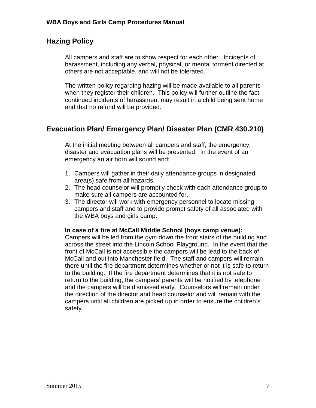## **Hazing Policy**

All campers and staff are to show respect for each other. Incidents of harassment, including any verbal, physical, or mental torment directed at others are not acceptable, and will not be tolerated.

The written policy regarding hazing will be made available to all parents when they register their children. This policy will further outline the fact continued incidents of harassment may result in a child being sent home and that no refund will be provided.

## **Evacuation Plan/ Emergency Plan/ Disaster Plan (CMR 430.210)**

At the initial meeting between all campers and staff, the emergency, disaster and evacuation plans will be presented. In the event of an emergency an air horn will sound and:

- 1. Campers will gather in their daily attendance groups in designated area(s) safe from all hazards.
- 2. The head counselor will promptly check with each attendance group to make sure all campers are accounted for.
- 3. The director will work with emergency personnel to locate missing campers and staff and to provide prompt safety of all associated with the WBA boys and girls camp.

#### **In case of a fire at McCall Middle School (boys camp venue):**

Campers will be led from the gym down the front stairs of the building and across the street into the Lincoln School Playground. In the event that the front of McCall is not accessible the campers will be lead to the back of McCall and out into Manchester field. The staff and campers will remain there until the fire department determines whether or not it is safe to return to the building. If the fire department determines that it is not safe to return to the building, the campers' parents will be notified by telephone and the campers will be dismissed early. Counselors will remain under the direction of the director and head counselor and will remain with the campers until all children are picked up in order to ensure the children's safety.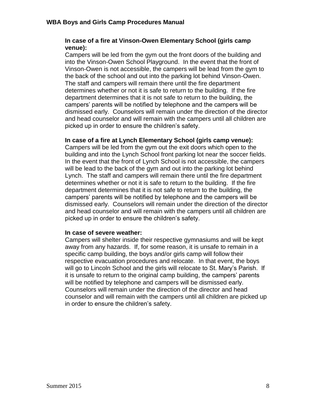#### **In case of a fire at Vinson-Owen Elementary School (girls camp venue):**

Campers will be led from the gym out the front doors of the building and into the Vinson-Owen School Playground. In the event that the front of Vinson-Owen is not accessible, the campers will be lead from the gym to the back of the school and out into the parking lot behind Vinson-Owen. The staff and campers will remain there until the fire department determines whether or not it is safe to return to the building. If the fire department determines that it is not safe to return to the building, the campers' parents will be notified by telephone and the campers will be dismissed early. Counselors will remain under the direction of the director and head counselor and will remain with the campers until all children are picked up in order to ensure the children's safety.

#### **In case of a fire at Lynch Elementary School (girls camp venue):**

Campers will be led from the gym out the exit doors which open to the building and into the Lynch School front parking lot near the soccer fields. In the event that the front of Lynch School is not accessible, the campers will be lead to the back of the gym and out into the parking lot behind Lynch. The staff and campers will remain there until the fire department determines whether or not it is safe to return to the building. If the fire department determines that it is not safe to return to the building, the campers' parents will be notified by telephone and the campers will be dismissed early. Counselors will remain under the direction of the director and head counselor and will remain with the campers until all children are picked up in order to ensure the children's safety.

#### **In case of severe weather:**

Campers will shelter inside their respective gymnasiums and will be kept away from any hazards. If, for some reason, it is unsafe to remain in a specific camp building, the boys and/or girls camp will follow their respective evacuation procedures and relocate. In that event, the boys will go to Lincoln School and the girls will relocate to St. Mary's Parish. If it is unsafe to return to the original camp building, the campers' parents will be notified by telephone and campers will be dismissed early. Counselors will remain under the direction of the director and head counselor and will remain with the campers until all children are picked up in order to ensure the children's safety.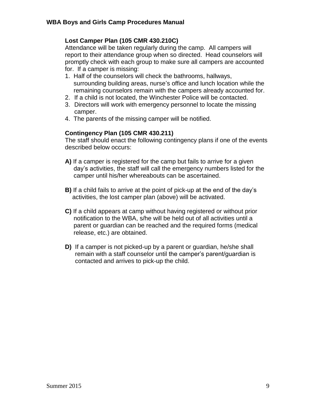#### **Lost Camper Plan (105 CMR 430.210C)**

Attendance will be taken regularly during the camp. All campers will report to their attendance group when so directed. Head counselors will promptly check with each group to make sure all campers are accounted for. If a camper is missing:

- 1. Half of the counselors will check the bathrooms, hallways, surrounding building areas, nurse's office and lunch location while the remaining counselors remain with the campers already accounted for.
- 2. If a child is not located, the Winchester Police will be contacted.
- 3. Directors will work with emergency personnel to locate the missing camper.
- 4. The parents of the missing camper will be notified.

#### **Contingency Plan (105 CMR 430.211)**

The staff should enact the following contingency plans if one of the events described below occurs:

- **A)** If a camper is registered for the camp but fails to arrive for a given day's activities, the staff will call the emergency numbers listed for the camper until his/her whereabouts can be ascertained.
- **B)** If a child fails to arrive at the point of pick-up at the end of the day's activities, the lost camper plan (above) will be activated.
- **C)** If a child appears at camp without having registered or without prior notification to the WBA, s/he will be held out of all activities until a parent or guardian can be reached and the required forms (medical release, etc.) are obtained.
- **D)** If a camper is not picked-up by a parent or guardian, he/she shall remain with a staff counselor until the camper's parent/guardian is contacted and arrives to pick-up the child.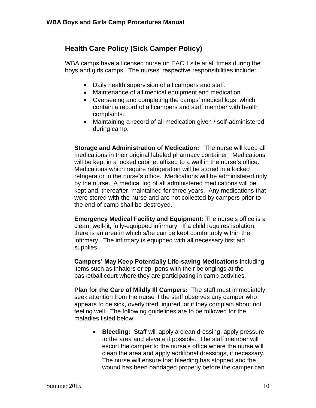## **Health Care Policy (Sick Camper Policy)**

WBA camps have a licensed nurse on EACH site at all times during the boys and girls camps. The nurses' respective responsibilities include:

- Daily health supervision of all campers and staff.
- Maintenance of all medical equipment and medication.
- Overseeing and completing the camps' medical logs, which contain a record of all campers and staff member with health complaints.
- Maintaining a record of all medication given / self-administered during camp.

**Storage and Administration of Medication:** The nurse will keep all medications in their original labeled pharmacy container. Medications will be kept in a locked cabinet affixed to a wall in the nurse's office. Medications which require refrigeration will be stored in a locked refrigerator in the nurse's office. Medications will be administered only by the nurse. A medical log of all administered medications will be kept and, thereafter, maintained for three years. Any medications that were stored with the nurse and are not collected by campers prior to the end of camp shall be destroyed.

**Emergency Medical Facility and Equipment:** The nurse's office is a clean, well-lit, fully-equipped infirmary. If a child requires isolation, there is an area in which s/he can be kept comfortably within the infirmary. The infirmary is equipped with all necessary first aid supplies.

**Campers' May Keep Potentially Life-saving Medications** including items such as inhalers or epi-pens with their belongings at the basketball court where they are participating in camp activities.

**Plan for the Care of Mildly Ill Campers:** The staff must immediately seek attention from the nurse if the staff observes any camper who appears to be sick, overly tired, injured, or if they complain about not feeling well. The following guidelines are to be followed for the maladies listed below:

 **Bleeding:** Staff will apply a clean dressing, apply pressure to the area and elevate if possible. The staff member will escort the camper to the nurse's office where the nurse will clean the area and apply additional dressings, if necessary. The nurse will ensure that bleeding has stopped and the wound has been bandaged properly before the camper can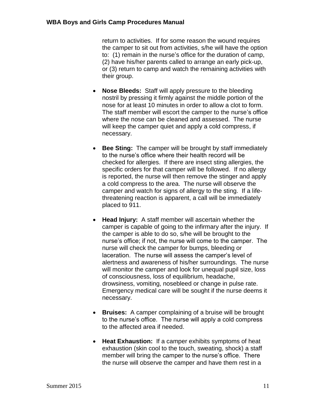return to activities. If for some reason the wound requires the camper to sit out from activities, s/he will have the option to: (1) remain in the nurse's office for the duration of camp, (2) have his/her parents called to arrange an early pick-up, or (3) return to camp and watch the remaining activities with their group.

- **Nose Bleeds:** Staff will apply pressure to the bleeding nostril by pressing it firmly against the middle portion of the nose for at least 10 minutes in order to allow a clot to form. The staff member will escort the camper to the nurse's office where the nose can be cleaned and assessed. The nurse will keep the camper quiet and apply a cold compress, if necessary.
- **Bee Sting:** The camper will be brought by staff immediately to the nurse's office where their health record will be checked for allergies. If there are insect sting allergies, the specific orders for that camper will be followed. If no allergy is reported, the nurse will then remove the stinger and apply a cold compress to the area. The nurse will observe the camper and watch for signs of allergy to the sting. If a lifethreatening reaction is apparent, a call will be immediately placed to 911.
- **Head Injury:** A staff member will ascertain whether the camper is capable of going to the infirmary after the injury. If the camper is able to do so, s/he will be brought to the nurse's office; if not, the nurse will come to the camper. The nurse will check the camper for bumps, bleeding or laceration. The nurse will assess the camper's level of alertness and awareness of his/her surroundings. The nurse will monitor the camper and look for unequal pupil size, loss of consciousness, loss of equilibrium, headache, drowsiness, vomiting, nosebleed or change in pulse rate. Emergency medical care will be sought if the nurse deems it necessary.
- **Bruises:** A camper complaining of a bruise will be brought to the nurse's office. The nurse will apply a cold compress to the affected area if needed.
- **Heat Exhaustion:** If a camper exhibits symptoms of heat exhaustion (skin cool to the touch, sweating, shock) a staff member will bring the camper to the nurse's office. There the nurse will observe the camper and have them rest in a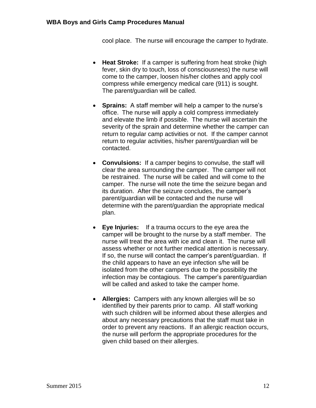cool place. The nurse will encourage the camper to hydrate.

- **Heat Stroke:** If a camper is suffering from heat stroke (high fever, skin dry to touch, loss of consciousness) the nurse will come to the camper, loosen his/her clothes and apply cool compress while emergency medical care (911) is sought. The parent/guardian will be called.
- **Sprains:** A staff member will help a camper to the nurse's office. The nurse will apply a cold compress immediately and elevate the limb if possible. The nurse will ascertain the severity of the sprain and determine whether the camper can return to regular camp activities or not. If the camper cannot return to regular activities, his/her parent/guardian will be contacted.
- **Convulsions:** If a camper begins to convulse, the staff will clear the area surrounding the camper. The camper will not be restrained. The nurse will be called and will come to the camper. The nurse will note the time the seizure began and its duration. After the seizure concludes, the camper's parent/guardian will be contacted and the nurse will determine with the parent/guardian the appropriate medical plan.
- **Eye Injuries:** If a trauma occurs to the eye area the camper will be brought to the nurse by a staff member. The nurse will treat the area with ice and clean it. The nurse will assess whether or not further medical attention is necessary. If so, the nurse will contact the camper's parent/guardian. If the child appears to have an eye infection s/he will be isolated from the other campers due to the possibility the infection may be contagious. The camper's parent/guardian will be called and asked to take the camper home.
- **Allergies:** Campers with any known allergies will be so identified by their parents prior to camp. All staff working with such children will be informed about these allergies and about any necessary precautions that the staff must take in order to prevent any reactions. If an allergic reaction occurs, the nurse will perform the appropriate procedures for the given child based on their allergies.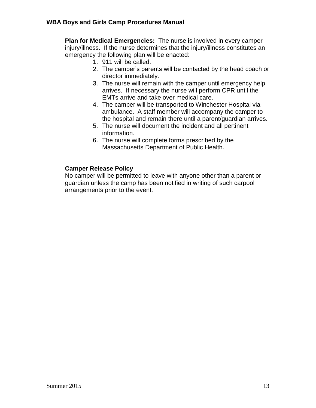**Plan for Medical Emergencies:** The nurse is involved in every camper injury/illness. If the nurse determines that the injury/illness constitutes an emergency the following plan will be enacted:

- 1. 911 will be called.
- 2. The camper's parents will be contacted by the head coach or director immediately.
- 3. The nurse will remain with the camper until emergency help arrives. If necessary the nurse will perform CPR until the EMTs arrive and take over medical care.
- 4. The camper will be transported to Winchester Hospital via ambulance. A staff member will accompany the camper to the hospital and remain there until a parent/guardian arrives.
- 5. The nurse will document the incident and all pertinent information.
- 6. The nurse will complete forms prescribed by the Massachusetts Department of Public Health.

#### **Camper Release Policy**

No camper will be permitted to leave with anyone other than a parent or guardian unless the camp has been notified in writing of such carpool arrangements prior to the event.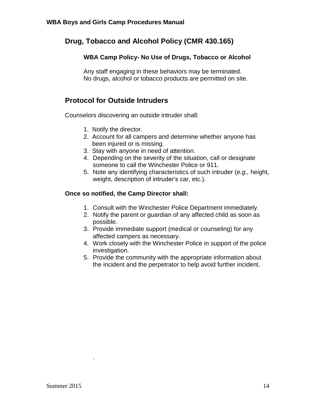## **Drug, Tobacco and Alcohol Policy (CMR 430.165)**

#### **WBA Camp Policy- No Use of Drugs, Tobacco or Alcohol**

Any staff engaging in these behaviors may be terminated. No drugs, alcohol or tobacco products are permitted on site.

## **Protocol for Outside Intruders**

Counselors discovering an outside intruder shall:

- 1. Notify the director.
- 2. Account for all campers and determine whether anyone has been injured or is missing.
- 3. Stay with anyone in need of attention.
- 4. Depending on the severity of the situation, call or designate someone to call the Winchester Police or 911.
- 5. Note any identifying characteristics of such intruder (*e.g.,* height, weight, description of intruder's car, etc.).

#### **Once so notified, the Camp Director shall:**

- 1. Consult with the Winchester Police Department immediately.
- 2. Notify the parent or guardian of any affected child as soon as possible.
- 3. Provide immediate support (medical or counseling) for any affected campers as necessary.
- 4. Work closely with the Winchester Police in support of the police investigation.
- 5. Provide the community with the appropriate information about the incident and the perpetrator to help avoid further incident.

.